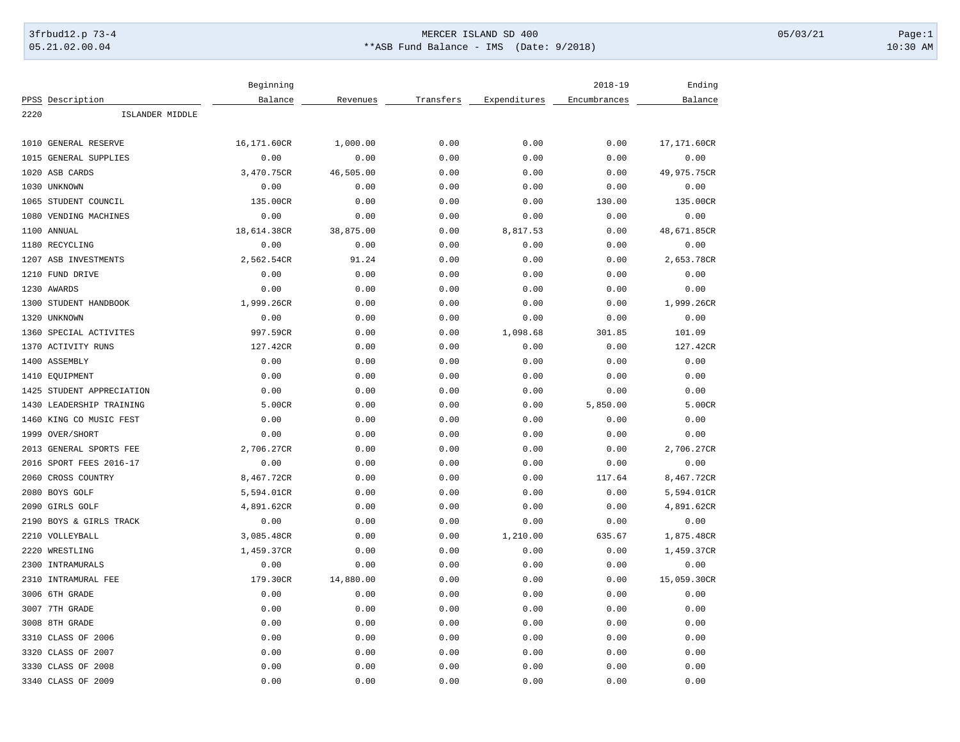## 3frbud12.p 73-4 Page:1 Page:1 05.21.02.00.04 \*\*ASB Fund Balance - IMS (Date: 9/2018) 10:30 AM

| Balance<br>Expenditures<br>Encumbrances<br>Balance<br>PPSS Description<br>Revenues<br>Transfers<br>2220<br>ISLANDER MIDDLE<br>16,171.60CR<br>0.00<br>0.00<br>1010 GENERAL RESERVE<br>1,000.00<br>0.00<br>17,171.60CR<br>0.00<br>0.00<br>0.00<br>0.00<br>1015<br>GENERAL SUPPLIES<br>0.00<br>0.00<br>3,470.75CR<br>46,505.00<br>0.00<br>0.00<br>49,975.75CR<br>1020 ASB CARDS<br>0.00<br>0.00<br>1030 UNKNOWN<br>0.00<br>0.00<br>0.00<br>0.00<br>0.00<br>1065 STUDENT COUNCIL<br>135.00CR<br>0.00<br>0.00<br>0.00<br>130.00<br>135.00CR<br>0.00<br>0.00<br>0.00<br>1080 VENDING MACHINES<br>0.00<br>0.00<br>0.00<br>38,875.00<br>1100 ANNUAL<br>18,614.38CR<br>0.00<br>8,817.53<br>0.00<br>48,671.85CR<br>0.00<br>0.00<br>0.00<br>0.00<br>0.00<br>0.00<br>1180 RECYCLING<br>1207 ASB INVESTMENTS<br>2,562.54CR<br>91.24<br>0.00<br>0.00<br>0.00<br>2,653.78CR<br>1210 FUND DRIVE<br>0.00<br>0.00<br>0.00<br>0.00<br>0.00<br>0.00<br>0.00<br>0.00<br>1230 AWARDS<br>0.00<br>0.00<br>0.00<br>0.00<br>1300 STUDENT HANDBOOK<br>1,999.26CR<br>0.00<br>0.00<br>0.00<br>0.00<br>1,999.26CR<br>0.00<br>0.00<br>0.00<br>0.00<br>0.00<br>1320 UNKNOWN<br>0.00<br>1360 SPECIAL ACTIVITES<br>997.59CR<br>0.00<br>0.00<br>1,098.68<br>301.85<br>101.09<br>1370 ACTIVITY RUNS<br>127.42CR<br>0.00<br>0.00<br>0.00<br>0.00<br>127.42CR<br>0.00<br>1400 ASSEMBLY<br>0.00<br>0.00<br>0.00<br>0.00<br>0.00<br>0.00<br>1410 EQUIPMENT<br>0.00<br>0.00<br>0.00<br>0.00<br>0.00<br>0.00<br>0.00<br>0.00<br>0.00<br>0.00<br>0.00<br>1425 STUDENT APPRECIATION<br>1430 LEADERSHIP TRAINING<br>5.00CR<br>0.00<br>0.00<br>0.00<br>5,850.00<br>5.00CR<br>1460 KING CO MUSIC FEST<br>0.00<br>0.00<br>0.00<br>0.00<br>0.00<br>0.00<br>1999 OVER/SHORT<br>0.00<br>0.00<br>0.00<br>0.00<br>0.00<br>0.00<br>2013 GENERAL SPORTS FEE<br>2,706.27CR<br>0.00<br>0.00<br>0.00<br>0.00<br>2,706.27CR<br>0.00<br>0.00<br>2016 SPORT FEES 2016-17<br>0.00<br>0.00<br>0.00<br>0.00<br>2060 CROSS COUNTRY<br>8,467.72CR<br>0.00<br>0.00<br>0.00<br>117.64<br>8,467.72CR<br>2080 BOYS GOLF<br>5,594.01CR<br>0.00<br>0.00<br>0.00<br>5,594.01CR<br>0.00 |  | Beginning |  | $2018 - 19$ | Ending |
|---------------------------------------------------------------------------------------------------------------------------------------------------------------------------------------------------------------------------------------------------------------------------------------------------------------------------------------------------------------------------------------------------------------------------------------------------------------------------------------------------------------------------------------------------------------------------------------------------------------------------------------------------------------------------------------------------------------------------------------------------------------------------------------------------------------------------------------------------------------------------------------------------------------------------------------------------------------------------------------------------------------------------------------------------------------------------------------------------------------------------------------------------------------------------------------------------------------------------------------------------------------------------------------------------------------------------------------------------------------------------------------------------------------------------------------------------------------------------------------------------------------------------------------------------------------------------------------------------------------------------------------------------------------------------------------------------------------------------------------------------------------------------------------------------------------------------------------------------------------------------------------------------------------------------------------------------------------------------------------------------------------------------------------------------------------------------------------------------------------|--|-----------|--|-------------|--------|
|                                                                                                                                                                                                                                                                                                                                                                                                                                                                                                                                                                                                                                                                                                                                                                                                                                                                                                                                                                                                                                                                                                                                                                                                                                                                                                                                                                                                                                                                                                                                                                                                                                                                                                                                                                                                                                                                                                                                                                                                                                                                                                               |  |           |  |             |        |
|                                                                                                                                                                                                                                                                                                                                                                                                                                                                                                                                                                                                                                                                                                                                                                                                                                                                                                                                                                                                                                                                                                                                                                                                                                                                                                                                                                                                                                                                                                                                                                                                                                                                                                                                                                                                                                                                                                                                                                                                                                                                                                               |  |           |  |             |        |
|                                                                                                                                                                                                                                                                                                                                                                                                                                                                                                                                                                                                                                                                                                                                                                                                                                                                                                                                                                                                                                                                                                                                                                                                                                                                                                                                                                                                                                                                                                                                                                                                                                                                                                                                                                                                                                                                                                                                                                                                                                                                                                               |  |           |  |             |        |
|                                                                                                                                                                                                                                                                                                                                                                                                                                                                                                                                                                                                                                                                                                                                                                                                                                                                                                                                                                                                                                                                                                                                                                                                                                                                                                                                                                                                                                                                                                                                                                                                                                                                                                                                                                                                                                                                                                                                                                                                                                                                                                               |  |           |  |             |        |
|                                                                                                                                                                                                                                                                                                                                                                                                                                                                                                                                                                                                                                                                                                                                                                                                                                                                                                                                                                                                                                                                                                                                                                                                                                                                                                                                                                                                                                                                                                                                                                                                                                                                                                                                                                                                                                                                                                                                                                                                                                                                                                               |  |           |  |             |        |
|                                                                                                                                                                                                                                                                                                                                                                                                                                                                                                                                                                                                                                                                                                                                                                                                                                                                                                                                                                                                                                                                                                                                                                                                                                                                                                                                                                                                                                                                                                                                                                                                                                                                                                                                                                                                                                                                                                                                                                                                                                                                                                               |  |           |  |             |        |
|                                                                                                                                                                                                                                                                                                                                                                                                                                                                                                                                                                                                                                                                                                                                                                                                                                                                                                                                                                                                                                                                                                                                                                                                                                                                                                                                                                                                                                                                                                                                                                                                                                                                                                                                                                                                                                                                                                                                                                                                                                                                                                               |  |           |  |             |        |
|                                                                                                                                                                                                                                                                                                                                                                                                                                                                                                                                                                                                                                                                                                                                                                                                                                                                                                                                                                                                                                                                                                                                                                                                                                                                                                                                                                                                                                                                                                                                                                                                                                                                                                                                                                                                                                                                                                                                                                                                                                                                                                               |  |           |  |             |        |
|                                                                                                                                                                                                                                                                                                                                                                                                                                                                                                                                                                                                                                                                                                                                                                                                                                                                                                                                                                                                                                                                                                                                                                                                                                                                                                                                                                                                                                                                                                                                                                                                                                                                                                                                                                                                                                                                                                                                                                                                                                                                                                               |  |           |  |             |        |
|                                                                                                                                                                                                                                                                                                                                                                                                                                                                                                                                                                                                                                                                                                                                                                                                                                                                                                                                                                                                                                                                                                                                                                                                                                                                                                                                                                                                                                                                                                                                                                                                                                                                                                                                                                                                                                                                                                                                                                                                                                                                                                               |  |           |  |             |        |
|                                                                                                                                                                                                                                                                                                                                                                                                                                                                                                                                                                                                                                                                                                                                                                                                                                                                                                                                                                                                                                                                                                                                                                                                                                                                                                                                                                                                                                                                                                                                                                                                                                                                                                                                                                                                                                                                                                                                                                                                                                                                                                               |  |           |  |             |        |
|                                                                                                                                                                                                                                                                                                                                                                                                                                                                                                                                                                                                                                                                                                                                                                                                                                                                                                                                                                                                                                                                                                                                                                                                                                                                                                                                                                                                                                                                                                                                                                                                                                                                                                                                                                                                                                                                                                                                                                                                                                                                                                               |  |           |  |             |        |
|                                                                                                                                                                                                                                                                                                                                                                                                                                                                                                                                                                                                                                                                                                                                                                                                                                                                                                                                                                                                                                                                                                                                                                                                                                                                                                                                                                                                                                                                                                                                                                                                                                                                                                                                                                                                                                                                                                                                                                                                                                                                                                               |  |           |  |             |        |
|                                                                                                                                                                                                                                                                                                                                                                                                                                                                                                                                                                                                                                                                                                                                                                                                                                                                                                                                                                                                                                                                                                                                                                                                                                                                                                                                                                                                                                                                                                                                                                                                                                                                                                                                                                                                                                                                                                                                                                                                                                                                                                               |  |           |  |             |        |
|                                                                                                                                                                                                                                                                                                                                                                                                                                                                                                                                                                                                                                                                                                                                                                                                                                                                                                                                                                                                                                                                                                                                                                                                                                                                                                                                                                                                                                                                                                                                                                                                                                                                                                                                                                                                                                                                                                                                                                                                                                                                                                               |  |           |  |             |        |
|                                                                                                                                                                                                                                                                                                                                                                                                                                                                                                                                                                                                                                                                                                                                                                                                                                                                                                                                                                                                                                                                                                                                                                                                                                                                                                                                                                                                                                                                                                                                                                                                                                                                                                                                                                                                                                                                                                                                                                                                                                                                                                               |  |           |  |             |        |
|                                                                                                                                                                                                                                                                                                                                                                                                                                                                                                                                                                                                                                                                                                                                                                                                                                                                                                                                                                                                                                                                                                                                                                                                                                                                                                                                                                                                                                                                                                                                                                                                                                                                                                                                                                                                                                                                                                                                                                                                                                                                                                               |  |           |  |             |        |
|                                                                                                                                                                                                                                                                                                                                                                                                                                                                                                                                                                                                                                                                                                                                                                                                                                                                                                                                                                                                                                                                                                                                                                                                                                                                                                                                                                                                                                                                                                                                                                                                                                                                                                                                                                                                                                                                                                                                                                                                                                                                                                               |  |           |  |             |        |
|                                                                                                                                                                                                                                                                                                                                                                                                                                                                                                                                                                                                                                                                                                                                                                                                                                                                                                                                                                                                                                                                                                                                                                                                                                                                                                                                                                                                                                                                                                                                                                                                                                                                                                                                                                                                                                                                                                                                                                                                                                                                                                               |  |           |  |             |        |
|                                                                                                                                                                                                                                                                                                                                                                                                                                                                                                                                                                                                                                                                                                                                                                                                                                                                                                                                                                                                                                                                                                                                                                                                                                                                                                                                                                                                                                                                                                                                                                                                                                                                                                                                                                                                                                                                                                                                                                                                                                                                                                               |  |           |  |             |        |
|                                                                                                                                                                                                                                                                                                                                                                                                                                                                                                                                                                                                                                                                                                                                                                                                                                                                                                                                                                                                                                                                                                                                                                                                                                                                                                                                                                                                                                                                                                                                                                                                                                                                                                                                                                                                                                                                                                                                                                                                                                                                                                               |  |           |  |             |        |
|                                                                                                                                                                                                                                                                                                                                                                                                                                                                                                                                                                                                                                                                                                                                                                                                                                                                                                                                                                                                                                                                                                                                                                                                                                                                                                                                                                                                                                                                                                                                                                                                                                                                                                                                                                                                                                                                                                                                                                                                                                                                                                               |  |           |  |             |        |
|                                                                                                                                                                                                                                                                                                                                                                                                                                                                                                                                                                                                                                                                                                                                                                                                                                                                                                                                                                                                                                                                                                                                                                                                                                                                                                                                                                                                                                                                                                                                                                                                                                                                                                                                                                                                                                                                                                                                                                                                                                                                                                               |  |           |  |             |        |
|                                                                                                                                                                                                                                                                                                                                                                                                                                                                                                                                                                                                                                                                                                                                                                                                                                                                                                                                                                                                                                                                                                                                                                                                                                                                                                                                                                                                                                                                                                                                                                                                                                                                                                                                                                                                                                                                                                                                                                                                                                                                                                               |  |           |  |             |        |
|                                                                                                                                                                                                                                                                                                                                                                                                                                                                                                                                                                                                                                                                                                                                                                                                                                                                                                                                                                                                                                                                                                                                                                                                                                                                                                                                                                                                                                                                                                                                                                                                                                                                                                                                                                                                                                                                                                                                                                                                                                                                                                               |  |           |  |             |        |
|                                                                                                                                                                                                                                                                                                                                                                                                                                                                                                                                                                                                                                                                                                                                                                                                                                                                                                                                                                                                                                                                                                                                                                                                                                                                                                                                                                                                                                                                                                                                                                                                                                                                                                                                                                                                                                                                                                                                                                                                                                                                                                               |  |           |  |             |        |
|                                                                                                                                                                                                                                                                                                                                                                                                                                                                                                                                                                                                                                                                                                                                                                                                                                                                                                                                                                                                                                                                                                                                                                                                                                                                                                                                                                                                                                                                                                                                                                                                                                                                                                                                                                                                                                                                                                                                                                                                                                                                                                               |  |           |  |             |        |
|                                                                                                                                                                                                                                                                                                                                                                                                                                                                                                                                                                                                                                                                                                                                                                                                                                                                                                                                                                                                                                                                                                                                                                                                                                                                                                                                                                                                                                                                                                                                                                                                                                                                                                                                                                                                                                                                                                                                                                                                                                                                                                               |  |           |  |             |        |
| 2090 GIRLS GOLF<br>4,891.62CR<br>0.00<br>0.00<br>0.00<br>0.00<br>4,891.62CR                                                                                                                                                                                                                                                                                                                                                                                                                                                                                                                                                                                                                                                                                                                                                                                                                                                                                                                                                                                                                                                                                                                                                                                                                                                                                                                                                                                                                                                                                                                                                                                                                                                                                                                                                                                                                                                                                                                                                                                                                                   |  |           |  |             |        |
| 2190 BOYS & GIRLS TRACK<br>0.00<br>0.00<br>0.00<br>0.00<br>0.00<br>0.00                                                                                                                                                                                                                                                                                                                                                                                                                                                                                                                                                                                                                                                                                                                                                                                                                                                                                                                                                                                                                                                                                                                                                                                                                                                                                                                                                                                                                                                                                                                                                                                                                                                                                                                                                                                                                                                                                                                                                                                                                                       |  |           |  |             |        |
| 3,085.48CR<br>2210 VOLLEYBALL<br>0.00<br>0.00<br>1,210.00<br>635.67<br>1,875.48CR                                                                                                                                                                                                                                                                                                                                                                                                                                                                                                                                                                                                                                                                                                                                                                                                                                                                                                                                                                                                                                                                                                                                                                                                                                                                                                                                                                                                                                                                                                                                                                                                                                                                                                                                                                                                                                                                                                                                                                                                                             |  |           |  |             |        |
| 2220 WRESTLING<br>1,459.37CR<br>0.00<br>0.00<br>0.00<br>0.00<br>1,459.37CR                                                                                                                                                                                                                                                                                                                                                                                                                                                                                                                                                                                                                                                                                                                                                                                                                                                                                                                                                                                                                                                                                                                                                                                                                                                                                                                                                                                                                                                                                                                                                                                                                                                                                                                                                                                                                                                                                                                                                                                                                                    |  |           |  |             |        |
| 2300 INTRAMURALS<br>0.00<br>0.00<br>0.00<br>0.00<br>0.00<br>0.00                                                                                                                                                                                                                                                                                                                                                                                                                                                                                                                                                                                                                                                                                                                                                                                                                                                                                                                                                                                                                                                                                                                                                                                                                                                                                                                                                                                                                                                                                                                                                                                                                                                                                                                                                                                                                                                                                                                                                                                                                                              |  |           |  |             |        |
| INTRAMURAL FEE<br>179.30CR<br>14,880.00<br>15,059.30CR<br>2310<br>0.00<br>0.00<br>0.00                                                                                                                                                                                                                                                                                                                                                                                                                                                                                                                                                                                                                                                                                                                                                                                                                                                                                                                                                                                                                                                                                                                                                                                                                                                                                                                                                                                                                                                                                                                                                                                                                                                                                                                                                                                                                                                                                                                                                                                                                        |  |           |  |             |        |
| 3006 6TH GRADE<br>0.00<br>0.00<br>0.00<br>0.00<br>0.00<br>0.00                                                                                                                                                                                                                                                                                                                                                                                                                                                                                                                                                                                                                                                                                                                                                                                                                                                                                                                                                                                                                                                                                                                                                                                                                                                                                                                                                                                                                                                                                                                                                                                                                                                                                                                                                                                                                                                                                                                                                                                                                                                |  |           |  |             |        |
| 3007 7TH GRADE<br>0.00<br>0.00<br>0.00<br>0.00<br>0.00<br>0.00                                                                                                                                                                                                                                                                                                                                                                                                                                                                                                                                                                                                                                                                                                                                                                                                                                                                                                                                                                                                                                                                                                                                                                                                                                                                                                                                                                                                                                                                                                                                                                                                                                                                                                                                                                                                                                                                                                                                                                                                                                                |  |           |  |             |        |
| 3008 8TH GRADE<br>0.00<br>0.00<br>0.00<br>0.00<br>0.00<br>0.00                                                                                                                                                                                                                                                                                                                                                                                                                                                                                                                                                                                                                                                                                                                                                                                                                                                                                                                                                                                                                                                                                                                                                                                                                                                                                                                                                                                                                                                                                                                                                                                                                                                                                                                                                                                                                                                                                                                                                                                                                                                |  |           |  |             |        |
| 3310 CLASS OF 2006<br>0.00<br>0.00<br>0.00<br>0.00<br>0.00<br>0.00                                                                                                                                                                                                                                                                                                                                                                                                                                                                                                                                                                                                                                                                                                                                                                                                                                                                                                                                                                                                                                                                                                                                                                                                                                                                                                                                                                                                                                                                                                                                                                                                                                                                                                                                                                                                                                                                                                                                                                                                                                            |  |           |  |             |        |
| 3320 CLASS OF 2007<br>0.00<br>0.00<br>0.00<br>0.00<br>0.00<br>0.00                                                                                                                                                                                                                                                                                                                                                                                                                                                                                                                                                                                                                                                                                                                                                                                                                                                                                                                                                                                                                                                                                                                                                                                                                                                                                                                                                                                                                                                                                                                                                                                                                                                                                                                                                                                                                                                                                                                                                                                                                                            |  |           |  |             |        |
| 3330 CLASS OF 2008<br>0.00<br>0.00<br>0.00<br>0.00<br>0.00<br>0.00                                                                                                                                                                                                                                                                                                                                                                                                                                                                                                                                                                                                                                                                                                                                                                                                                                                                                                                                                                                                                                                                                                                                                                                                                                                                                                                                                                                                                                                                                                                                                                                                                                                                                                                                                                                                                                                                                                                                                                                                                                            |  |           |  |             |        |
| 3340 CLASS OF 2009<br>0.00<br>0.00<br>0.00<br>0.00<br>0.00<br>0.00                                                                                                                                                                                                                                                                                                                                                                                                                                                                                                                                                                                                                                                                                                                                                                                                                                                                                                                                                                                                                                                                                                                                                                                                                                                                                                                                                                                                                                                                                                                                                                                                                                                                                                                                                                                                                                                                                                                                                                                                                                            |  |           |  |             |        |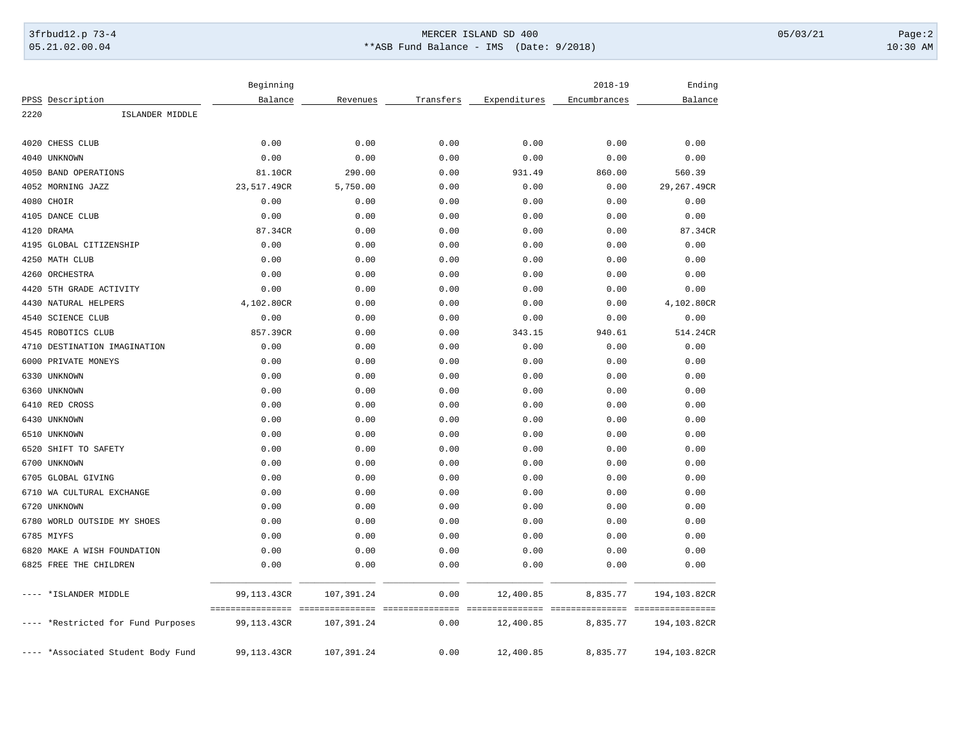## 3frbud12.p 73-4 Page:2 05.21.02.00.04 \*\*ASB Fund Balance - IMS (Date: 9/2018) 10:30 AM

|      |                                    | Beginning                       |                                |                          |                              | $2018 - 19$                                 | Ending       |
|------|------------------------------------|---------------------------------|--------------------------------|--------------------------|------------------------------|---------------------------------------------|--------------|
|      | PPSS Description                   | Balance                         | Revenues                       | Transfers                | Expenditures                 | Encumbrances                                | Balance      |
| 2220 | ISLANDER MIDDLE                    |                                 |                                |                          |                              |                                             |              |
|      | 4020 CHESS CLUB                    | 0.00                            | 0.00                           | 0.00                     | 0.00                         | 0.00                                        | 0.00         |
|      | 4040 UNKNOWN                       | 0.00                            | 0.00                           | 0.00                     | 0.00                         | 0.00                                        | 0.00         |
|      | 4050 BAND OPERATIONS               | 81.10CR                         | 290.00                         | 0.00                     | 931.49                       | 860.00                                      | 560.39       |
|      | 4052 MORNING JAZZ                  | 23,517.49CR                     | 5,750.00                       | 0.00                     | 0.00                         | 0.00                                        | 29,267.49CR  |
|      | 4080 CHOIR                         | 0.00                            | 0.00                           | 0.00                     | 0.00                         | 0.00                                        | 0.00         |
|      | 4105 DANCE CLUB                    | 0.00                            | 0.00                           | 0.00                     | 0.00                         | 0.00                                        | 0.00         |
|      | 4120 DRAMA                         | 87.34CR                         | 0.00                           | 0.00                     | 0.00                         | 0.00                                        | 87.34CR      |
|      | 4195 GLOBAL CITIZENSHIP            | 0.00                            | 0.00                           | 0.00                     | 0.00                         | 0.00                                        | 0.00         |
|      | 4250 MATH CLUB                     | 0.00                            | 0.00                           | 0.00                     | 0.00                         | 0.00                                        | 0.00         |
|      | 4260 ORCHESTRA                     | 0.00                            | 0.00                           | 0.00                     | 0.00                         | 0.00                                        | 0.00         |
|      | 4420 5TH GRADE ACTIVITY            | 0.00                            | 0.00                           | 0.00                     | 0.00                         | 0.00                                        | 0.00         |
|      | 4430 NATURAL HELPERS               | 4,102.80CR                      | 0.00                           | 0.00                     | 0.00                         | 0.00                                        | 4,102.80CR   |
|      | 4540 SCIENCE CLUB                  | 0.00                            | 0.00                           | 0.00                     | 0.00                         | 0.00                                        | 0.00         |
|      | 4545 ROBOTICS CLUB                 | 857.39CR                        | 0.00                           | 0.00                     | 343.15                       | 940.61                                      | 514.24CR     |
|      | 4710 DESTINATION IMAGINATION       | 0.00                            | 0.00                           | 0.00                     | 0.00                         | 0.00                                        | 0.00         |
|      | 6000 PRIVATE MONEYS                | 0.00                            | 0.00                           | 0.00                     | 0.00                         | 0.00                                        | 0.00         |
|      | 6330 UNKNOWN                       | 0.00                            | 0.00                           | 0.00                     | 0.00                         | 0.00                                        | 0.00         |
|      | 6360 UNKNOWN                       | 0.00                            | 0.00                           | 0.00                     | 0.00                         | 0.00                                        | 0.00         |
|      | 6410 RED CROSS                     | 0.00                            | 0.00                           | 0.00                     | 0.00                         | 0.00                                        | 0.00         |
|      | 6430 UNKNOWN                       | 0.00                            | 0.00                           | 0.00                     | 0.00                         | 0.00                                        | 0.00         |
|      | 6510 UNKNOWN                       | 0.00                            | 0.00                           | 0.00                     | 0.00                         | 0.00                                        | 0.00         |
| 6520 | SHIFT TO SAFETY                    | 0.00                            | 0.00                           | 0.00                     | 0.00                         | 0.00                                        | 0.00         |
|      | 6700 UNKNOWN                       | 0.00                            | 0.00                           | 0.00                     | 0.00                         | 0.00                                        | 0.00         |
|      | 6705 GLOBAL GIVING                 | 0.00                            | 0.00                           | 0.00                     | 0.00                         | 0.00                                        | 0.00         |
|      | 6710 WA CULTURAL EXCHANGE          | 0.00                            | 0.00                           | 0.00                     | 0.00                         | 0.00                                        | 0.00         |
|      | 6720 UNKNOWN                       | 0.00                            | 0.00                           | 0.00                     | 0.00                         | 0.00                                        | 0.00         |
|      | 6780 WORLD OUTSIDE MY SHOES        | 0.00                            | 0.00                           | 0.00                     | 0.00                         | 0.00                                        | 0.00         |
|      | 6785 MIYFS                         | 0.00                            | 0.00                           | 0.00                     | 0.00                         | 0.00                                        | 0.00         |
|      | 6820 MAKE A WISH FOUNDATION        | 0.00                            | 0.00                           | 0.00                     | 0.00                         | 0.00                                        | 0.00         |
|      | 6825 FREE THE CHILDREN             | 0.00                            | 0.00                           | 0.00                     | 0.00                         | 0.00                                        | 0.00         |
|      | *ISLANDER MIDDLE                   | 99,113.43CR                     | 107, 391.24                    | 0.00                     | 12,400.85                    | 8,835.77                                    | 194,103.82CR |
|      | *Restricted for Fund Purposes      | ----------------<br>99,113.43CR | ----------------<br>107,391.24 | ----------------<br>0.00 | ===============<br>12,400.85 | --------------- ---------------<br>8,835.77 | 194,103.82CR |
|      | ---- *Associated Student Body Fund | 99,113.43CR                     | 107, 391.24                    | 0.00                     | 12,400.85                    | 8,835.77                                    | 194,103.82CR |